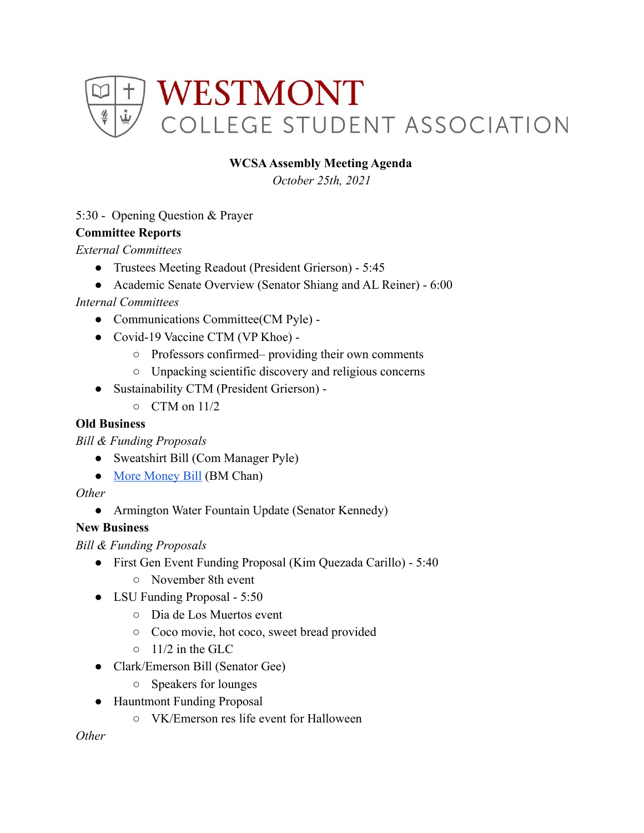

## **WCSAAssembly Meeting Agenda**

*October 25th, 2021*

## 5:30 - Opening Question & Prayer

#### **Committee Reports**

*External Committees*

- Trustees Meeting Readout (President Grierson) 5:45
- Academic Senate Overview (Senator Shiang and AL Reiner) 6:00

## *Internal Committees*

- Communications Committee(CM Pyle) -
- Covid-19 Vaccine CTM (VP Khoe) -
	- Professors confirmed– providing their own comments
	- Unpacking scientific discovery and religious concerns
- Sustainability CTM (President Grierson)
	- $\circ$  CTM on 11/2

### **Old Business**

*Bill & Funding Proposals*

- Sweatshirt Bill (Com Manager Pyle)
- [More Money Bill](https://docs.google.com/document/d/1dUcVkRfRh2zofJhU15YurjjfJJYrcoMvbFQMBk7fs1M/edit) (BM Chan)

#### *Other*

• Armington Water Fountain Update (Senator Kennedy)

# **New Business**

*Bill & Funding Proposals*

- First Gen Event Funding Proposal (Kim Quezada Carillo) 5:40
	- November 8th event
- LSU Funding Proposal 5:50
	- Dia de Los Muertos event
	- Coco movie, hot coco, sweet bread provided
	- $\circ$  11/2 in the GLC
- Clark/Emerson Bill (Senator Gee)
	- Speakers for lounges
- Hauntmont Funding Proposal
	- VK/Emerson res life event for Halloween

*Other*